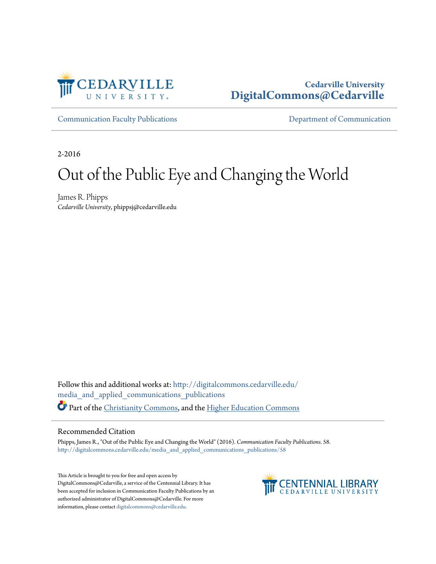

## **Cedarville University [DigitalCommons@Cedarville](http://digitalcommons.cedarville.edu?utm_source=digitalcommons.cedarville.edu%2Fmedia_and_applied_communications_publications%2F58&utm_medium=PDF&utm_campaign=PDFCoverPages)**

[Communication Faculty Publications](http://digitalcommons.cedarville.edu/media_and_applied_communications_publications?utm_source=digitalcommons.cedarville.edu%2Fmedia_and_applied_communications_publications%2F58&utm_medium=PDF&utm_campaign=PDFCoverPages) [Department of Communication](http://digitalcommons.cedarville.edu/media_and_applied_communications?utm_source=digitalcommons.cedarville.edu%2Fmedia_and_applied_communications_publications%2F58&utm_medium=PDF&utm_campaign=PDFCoverPages)

2-2016

## Out of the Public Eye and Changing the World

James R. Phipps *Cedarville University*, phippsj@cedarville.edu

Follow this and additional works at: [http://digitalcommons.cedarville.edu/](http://digitalcommons.cedarville.edu/media_and_applied_communications_publications?utm_source=digitalcommons.cedarville.edu%2Fmedia_and_applied_communications_publications%2F58&utm_medium=PDF&utm_campaign=PDFCoverPages) [media\\_and\\_applied\\_communications\\_publications](http://digitalcommons.cedarville.edu/media_and_applied_communications_publications?utm_source=digitalcommons.cedarville.edu%2Fmedia_and_applied_communications_publications%2F58&utm_medium=PDF&utm_campaign=PDFCoverPages) Part of the [Christianity Commons,](http://network.bepress.com/hgg/discipline/1181?utm_source=digitalcommons.cedarville.edu%2Fmedia_and_applied_communications_publications%2F58&utm_medium=PDF&utm_campaign=PDFCoverPages) and the [Higher Education Commons](http://network.bepress.com/hgg/discipline/1245?utm_source=digitalcommons.cedarville.edu%2Fmedia_and_applied_communications_publications%2F58&utm_medium=PDF&utm_campaign=PDFCoverPages)

## Recommended Citation

Phipps, James R., "Out of the Public Eye and Changing the World" (2016). *Communication Faculty Publications*. 58. [http://digitalcommons.cedarville.edu/media\\_and\\_applied\\_communications\\_publications/58](http://digitalcommons.cedarville.edu/media_and_applied_communications_publications/58?utm_source=digitalcommons.cedarville.edu%2Fmedia_and_applied_communications_publications%2F58&utm_medium=PDF&utm_campaign=PDFCoverPages)

This Article is brought to you for free and open access by DigitalCommons@Cedarville, a service of the Centennial Library. It has been accepted for inclusion in Communication Faculty Publications by an authorized administrator of DigitalCommons@Cedarville. For more information, please contact [digitalcommons@cedarville.edu.](mailto:digitalcommons@cedarville.edu)